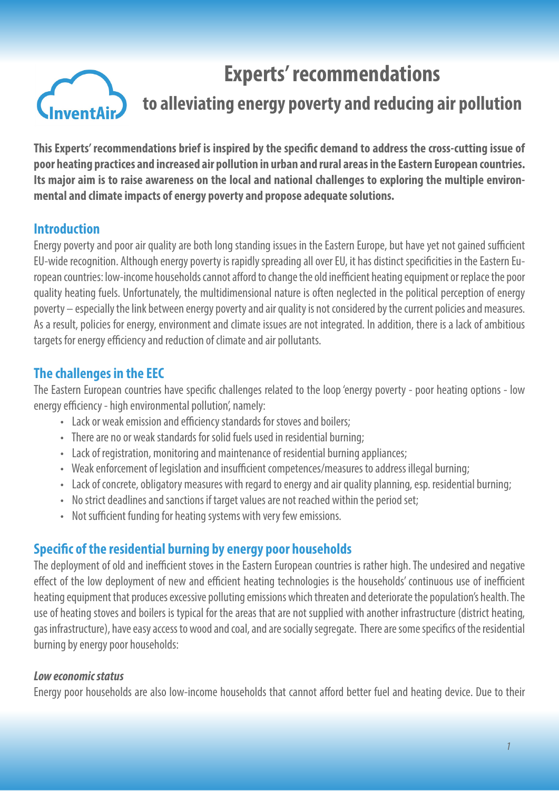

# **Experts' recommendations to alleviating energy poverty and reducing air pollution**

**This Experts' recommendations brief is inspired by the specific demand to address the cross-cutting issue of poor heating practices and increased air pollution in urban and rural areas in the Eastern European countries. Its major aim is to raise awareness on the local and national challenges to exploring the multiple environmental and climate impacts of energy poverty and propose adequate solutions.**

## **Introduction**

Energy poverty and poor air quality are both long standing issues in the Eastern Europe, but have yet not gained sufficient EU-wide recognition. Although energy poverty is rapidly spreading all over EU, it has distinct specificities in the Eastern European countries: low-income households cannot afford to change the old inefficient heating equipment or replace the poor quality heating fuels. Unfortunately, the multidimensional nature is often neglected in the political perception of energy poverty – especially the link between energy poverty and air quality is not considered by the current policies and measures. As a result, policies for energy, environment and climate issues are not integrated. In addition, there is a lack of ambitious targets for energy efficiency and reduction of climate and air pollutants.

# **The challenges in the EEC**

The Eastern European countries have specific challenges related to the loop 'energy poverty - poor heating options - low energy efficiency - high environmental pollution', namely:

- Lack or weak emission and efficiency standards for stoves and boilers;
- There are no or weak standards for solid fuels used in residential burning;
- Lack of registration, monitoring and maintenance of residential burning appliances;
- Weak enforcement of legislation and insufficient competences/measures to address illegal burning;
- Lack of concrete, obligatory measures with regard to energy and air quality planning, esp. residential burning;
- No strict deadlines and sanctions if target values are not reached within the period set;
- Not sufficient funding for heating systems with very few emissions.

# **Specific of the residential burning by energy poor households**

The deployment of old and inefficient stoves in the Eastern European countries is rather high. The undesired and negative effect of the low deployment of new and efficient heating technologies is the households' continuous use of inefficient heating equipment that produces excessive polluting emissions which threaten and deteriorate the population's health. The use of heating stoves and boilers is typical for the areas that are not supplied with another infrastructure (district heating, gas infrastructure), have easy access to wood and coal, and are socially segregate. There are some specifics of the residential burning by energy poor households:

#### *Low economic status*

Energy poor households are also low-income households that cannot afford better fuel and heating device. Due to their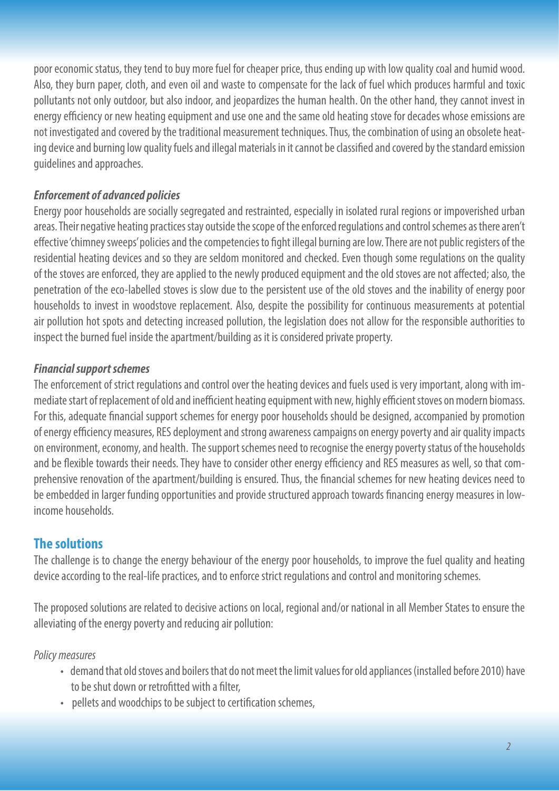poor economic status, they tend to buy more fuel for cheaper price, thus ending up with low quality coal and humid wood. Also, they burn paper, cloth, and even oil and waste to compensate for the lack of fuel which produces harmful and toxic pollutants not only outdoor, but also indoor, and jeopardizes the human health. On the other hand, they cannot invest in energy efficiency or new heating equipment and use one and the same old heating stove for decades whose emissions are not investigated and covered by the traditional measurement techniques. Thus, the combination of using an obsolete heating device and burning low quality fuels and illegal materials in it cannot be classified and covered by the standard emission guidelines and approaches.

### *Enforcement of advanced policies*

Energy poor households are socially segregated and restrainted, especially in isolated rural regions or impoverished urban areas. Their negative heating practices stay outside the scope of the enforced regulations and control schemes as there aren't effective 'chimney sweeps' policies and the competencies to fight illegal burning are low. There are not public registers of the residential heating devices and so they are seldom monitored and checked. Even though some regulations on the quality of the stoves are enforced, they are applied to the newly produced equipment and the old stoves are not affected; also, the penetration of the eco-labelled stoves is slow due to the persistent use of the old stoves and the inability of energy poor households to invest in woodstove replacement. Also, despite the possibility for continuous measurements at potential air pollution hot spots and detecting increased pollution, the legislation does not allow for the responsible authorities to inspect the burned fuel inside the apartment/building as it is considered private property.

### *Financial support schemes*

The enforcement of strict regulations and control over the heating devices and fuels used is very important, along with immediate start of replacement of old and inefficient heating equipment with new, highly efficient stoves on modern biomass. For this, adequate financial support schemes for energy poor households should be designed, accompanied by promotion of energy efficiency measures, RES deployment and strong awareness campaigns on energy poverty and air quality impacts on environment, economy, and health. The support schemes need to recognise the energy poverty status of the households and be flexible towards their needs. They have to consider other energy efficiency and RES measures as well, so that comprehensive renovation of the apartment/building is ensured. Thus, the financial schemes for new heating devices need to be embedded in larger funding opportunities and provide structured approach towards financing energy measures in lowincome households.

## **The solutions**

The challenge is to change the energy behaviour of the energy poor households, to improve the fuel quality and heating device according to the real-life practices, and to enforce strict regulations and control and monitoring schemes.

The proposed solutions are related to decisive actions on local, regional and/or national in all Member States to ensure the alleviating of the energy poverty and reducing air pollution:

#### *Policy measures*

- demand that old stoves and boilers that do not meet the limit values for old appliances (installed before 2010) have to be shut down or retrofitted with a filter,
- pellets and woodchips to be subject to certification schemes,